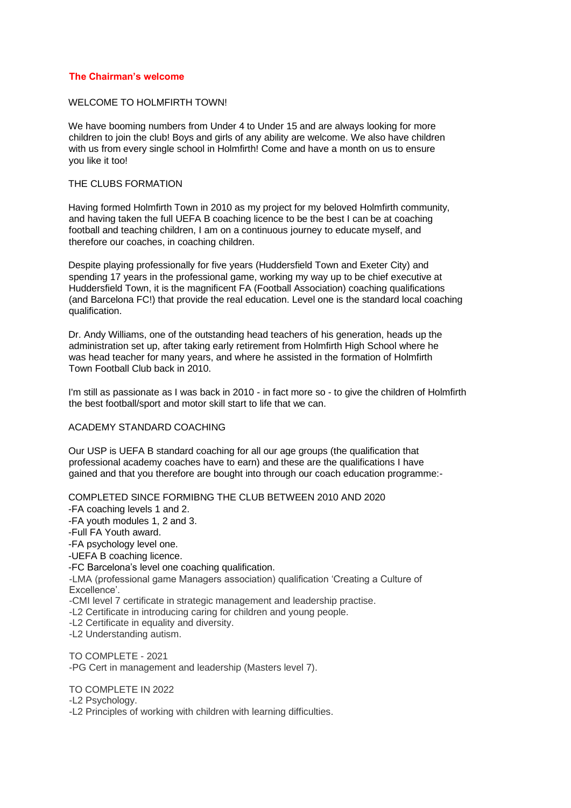# **The Chairman's welcome**

## WELCOME TO HOLMFIRTH TOWNL

We have booming numbers from Under 4 to Under 15 and are always looking for more children to join the club! Boys and girls of any ability are welcome. We also have children with us from every single school in Holmfirth! Come and have a month on us to ensure you like it too!

## THE CLUBS FORMATION

Having formed Holmfirth Town in 2010 as my project for my beloved Holmfirth community, and having taken the full UEFA B coaching licence to be the best I can be at coaching football and teaching children, I am on a continuous journey to educate myself, and therefore our coaches, in coaching children.

Despite playing professionally for five years (Huddersfield Town and Exeter City) and spending 17 years in the professional game, working my way up to be chief executive at Huddersfield Town, it is the magnificent FA (Football Association) coaching qualifications (and Barcelona FC!) that provide the real education. Level one is the standard local coaching qualification.

Dr. Andy Williams, one of the outstanding head teachers of his generation, heads up the administration set up, after taking early retirement from Holmfirth High School where he was head teacher for many years, and where he assisted in the formation of Holmfirth Town Football Club back in 2010.

I'm still as passionate as I was back in 2010 - in fact more so - to give the children of Holmfirth the best football/sport and motor skill start to life that we can.

# ACADEMY STANDARD COACHING

Our USP is UEFA B standard coaching for all our age groups (the qualification that professional academy coaches have to earn) and these are the qualifications I have gained and that you therefore are bought into through our coach education programme:-

COMPLETED SINCE FORMIBNG THE CLUB BETWEEN 2010 AND 2020

-FA coaching levels 1 and 2.

-FA youth modules 1, 2 and 3.

-Full FA Youth award.

-FA psychology level one.

-UEFA B coaching licence.

-FC Barcelona's level one coaching qualification.

-LMA (professional game Managers association) qualification 'Creating a Culture of Excellence'.

-CMI level 7 certificate in strategic management and leadership practise.

-L2 Certificate in introducing caring for children and young people.

-L2 Certificate in equality and diversity.

-L2 Understanding autism.

TO COMPLETE - 2021 -PG Cert in management and leadership (Masters level 7).

TO COMPLETE IN 2022

-L2 Psychology.

-L2 Principles of working with children with learning difficulties.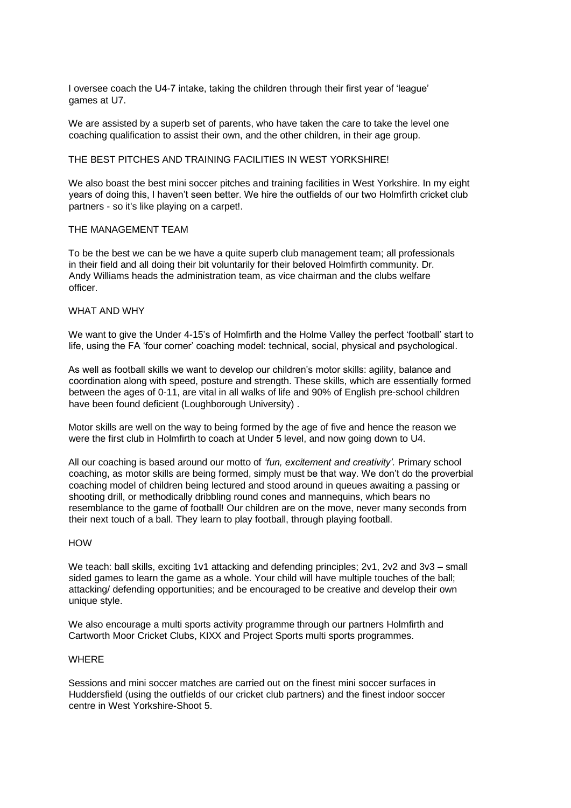I oversee coach the U4-7 intake, taking the children through their first year of 'league' games at U7.

We are assisted by a superb set of parents, who have taken the care to take the level one coaching qualification to assist their own, and the other children, in their age group.

#### THE BEST PITCHES AND TRAINING FACILITIES IN WEST YORKSHIRE!

We also boast the best mini soccer pitches and training facilities in West Yorkshire. In my eight years of doing this, I haven't seen better. We hire the outfields of our two Holmfirth cricket club partners - so it's like playing on a carpet!.

## THE MANAGEMENT TEAM

To be the best we can be we have a quite superb club management team; all professionals in their field and all doing their bit voluntarily for their beloved Holmfirth community. Dr. Andy Williams heads the administration team, as vice chairman and the clubs welfare officer.

## WHAT AND WHY

We want to give the Under 4-15's of Holmfirth and the Holme Valley the perfect 'football' start to life, using the FA 'four corner' coaching model: technical, social, physical and psychological.

As well as football skills we want to develop our children's motor skills: agility, balance and coordination along with speed, posture and strength. These skills, which are essentially formed between the ages of 0-11, are vital in all walks of life and 90% of English pre-school children have been found deficient (Loughborough University) .

Motor skills are well on the way to being formed by the age of five and hence the reason we were the first club in Holmfirth to coach at Under 5 level, and now going down to U4.

All our coaching is based around our motto of *'fun, excitement and creativity'.* Primary school coaching, as motor skills are being formed, simply must be that way. We don't do the proverbial coaching model of children being lectured and stood around in queues awaiting a passing or shooting drill, or methodically dribbling round cones and mannequins, which bears no resemblance to the game of football! Our children are on the move, never many seconds from their next touch of a ball. They learn to play football, through playing football.

#### **HOW**

We teach: ball skills, exciting 1v1 attacking and defending principles; 2v1, 2v2 and 3v3 – small sided games to learn the game as a whole. Your child will have multiple touches of the ball; attacking/ defending opportunities; and be encouraged to be creative and develop their own unique style.

We also encourage a multi sports activity programme through our partners Holmfirth and Cartworth Moor Cricket Clubs, KIXX and Project Sports multi sports programmes.

## **WHERE**

Sessions and mini soccer matches are carried out on the finest mini soccer surfaces in Huddersfield (using the outfields of our cricket club partners) and the finest indoor soccer centre in West Yorkshire-Shoot 5.